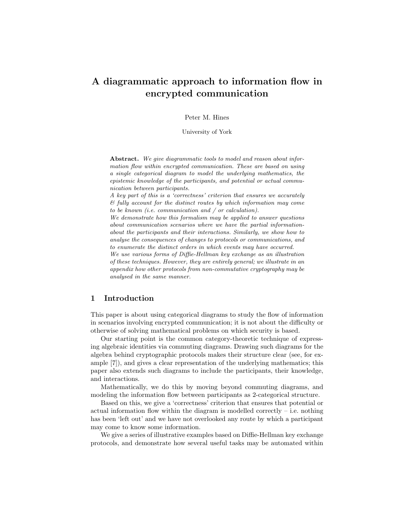## A diagrammatic approach to information flow in encrypted communication

Peter M. Hines

University of York

Abstract. We give diagrammatic tools to model and reason about information flow within encrypted communication. These are based on using a single categorical diagram to model the underlying mathematics, the epistemic knowledge of the participants, and potential or actual communication between participants.

A key part of this is a 'correctness' criterion that ensures we accurately & fully account for the distinct routes by which information may come to be known (i.e. communication and / or calculation).

We demonstrate how this formalism may be applied to answer questions about communication scenarios where we have the partial informationabout the participants and their interactions. Similarly, we show how to analyse the consequences of changes to protocols or communications, and to enumerate the distinct orders in which events may have occurred.

We use various forms of Diffie-Hellman key exchange as an illustration of these techniques. However, they are entirely general; we illustrate in an appendix how other protocols from non-commutative cryptography may be analysed in the same manner.

## 1 Introduction

This paper is about using categorical diagrams to study the flow of information in scenarios involving encrypted communication; it is not about the difficulty or otherwise of solving mathematical problems on which security is based.

Our starting point is the common category-theoretic technique of expressing algebraic identities via commuting diagrams. Drawing such diagrams for the algebra behind cryptographic protocols makes their structure clear (see, for example [7]), and gives a clear representation of the underlying mathematics; this paper also extends such diagrams to include the participants, their knowledge, and interactions.

Mathematically, we do this by moving beyond commuting diagrams, and modeling the information flow between participants as 2-categorical structure.

Based on this, we give a 'correctness' criterion that ensures that potential or actual information flow within the diagram is modelled correctly  $-$  i.e. nothing has been 'left out' and we have not overlooked any route by which a participant may come to know some information.

We give a series of illustrative examples based on Diffie-Hellman key exchange protocols, and demonstrate how several useful tasks may be automated within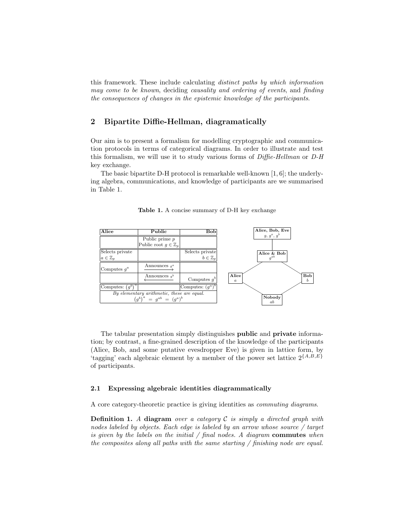this framework. These include calculating distinct paths by which information may come to be known, deciding causality and ordering of events, and finding the consequences of changes in the epistemic knowledge of the participants.

## 2 Bipartite Diffie-Hellman, diagramatically

Our aim is to present a formalism for modelling cryptographic and communication protocols in terms of categorical diagrams. In order to illustrate and test this formalism, we will use it to study various forms of Diffie-Hellman or D-H key exchange.

The basic bipartite D-H protocol is remarkable well-known [1, 6]; the underlying algebra, communications, and knowledge of participants are we summarised in Table 1.

Table 1. A concise summary of D-H key exchange



The tabular presentation simply distinguishes public and private information; by contrast, a fine-grained description of the knowledge of the participants (Alice, Bob, and some putative evesdropper Eve) is given in lattice form, by 'tagging' each algebraic element by a member of the power set lattice  $2^{\{A,B,E\}}$ of participants.

#### 2.1 Expressing algebraic identities diagrammatically

A core category-theoretic practice is giving identities as commuting diagrams.

**Definition 1.** A diagram over a category  $C$  is simply a directed graph with nodes labeled by objects. Each edge is labeled by an arrow whose source / target is given by the labels on the initial  $/$  final nodes. A diagram commutes when the composites along all paths with the same starting / finishing node are equal.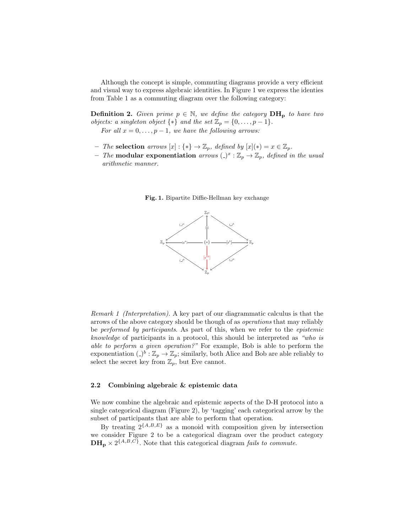Although the concept is simple, commuting diagrams provide a very efficient and visual way to express algebraic identities. In Figure 1 we express the identies from Table 1 as a commuting diagram over the following category:

**Definition 2.** Given prime  $p \in \mathbb{N}$ , we define the category  $DH_p$  to have two *objects: a singleton object*  $\{*\}$  *and the set*  $\mathbb{Z}_p = \{0, \ldots, p-1\}.$ 

For all  $x = 0, \ldots, p - 1$ , we have the following arrows:

- The selection arrows  $[x]$ : {\*} →  $\mathbb{Z}_p$ , defined by  $[x](*) = x \in \mathbb{Z}_p$ .
- The **modular exponentiation** arrows  $(\cdot)^x : \mathbb{Z}_p \to \mathbb{Z}_p$ , defined in the usual arithmetic manner.





Remark 1 (Interpretation). A key part of our diagrammatic calculus is that the arrows of the above category should be though of as operations that may reliably be performed by participants. As part of this, when we refer to the epistemic knowledge of participants in a protocol, this should be interpreted as "who is able to perform a given operation?" For example, Bob is able to perform the exponentiation  $( )^b : \mathbb{Z}_p \to \mathbb{Z}_p$ ; similarly, both Alice and Bob are able reliably to select the secret key from  $\mathbb{Z}_p$ , but Eve cannot.

#### 2.2 Combining algebraic & epistemic data

We now combine the algebraic and epistemic aspects of the D-H protocol into a single categorical diagram (Figure 2), by 'tagging' each categorical arrow by the subset of participants that are able to perform that operation.

By treating  $2^{\{A,B,E\}}$  as a monoid with composition given by intersection we consider Figure 2 to be a categorical diagram over the product category  $\mathbf{DH_p} \times 2^{\{A,B,C\}}$ . Note that this categorical diagram fails to commute.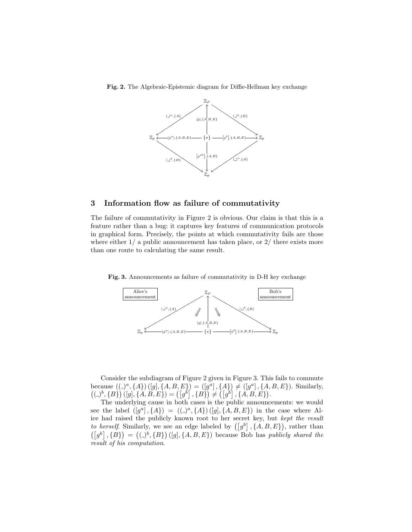

Fig. 2. The Algebraic-Epistemic diagram for Diffie-Hellman key exchange

## 3 Information flow as failure of commutativity

The failure of commutativity in Figure 2 is obvious. Our claim is that this is a feature rather than a bug: it captures key features of communication protocols in graphical form. Precisely, the points at which commutativity fails are those where either  $1/$  a public announcement has taken place, or  $2/$  there exists more than one route to calculating the same result.

Fig. 3. Announcements as failure of commutativity in D-H key exchange



Consider the subdiagram of Figure 2 given in Figure 3. This fails to commute because  $((a^a, \{A\}) ([g], \{A, B, E\}) = ([g^a], \{A\}) \neq ([g^a], \{A, B, E\})$ . Similarly,  $((a^b, {B}) (g, {A, B, E}) = ({g^b}, {B}) \neq ({g^b}, {A, B, E}).$ 

The underlying cause in both cases is the public announcements: we would see the label  $([g^a], \{A\}) = ((a^a, \{A\}) ([g], \{A, B, E\})$  in the case where Alice had raised the publicly known root to her secret key, but kept the result to herself. Similarly, we see an edge labeled by  $([g^b], \{A, B, E\})$ , rather than  $([g^b], {B}) = ((a^b, {B}) (g], {A, B, E})$  because Bob has *publicly shared the* result of his computation.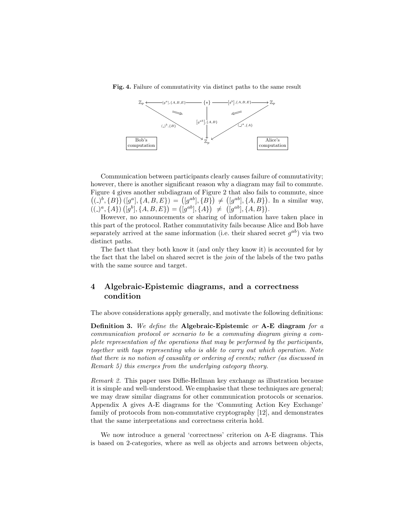Fig. 4. Failure of commutativity via distinct paths to the same result



Communication between participants clearly causes failure of commutativity; however, there is another significant reason why a diagram may fail to commute. Figure 4 gives another subdiagram of Figure 2 that also fails to commute, since  $((a)^b, {B})([g^a], {A, B, E}) = ([g^{ab}], {B}) \neq ([g^{ab}], {A, B}).$  In a similar way,  $((-)^a, \{A\}) ([g^b], \{A, B, E\}) = ([g^{ab}], \{A\}) \neq ([g^{ab}], \{A, B\}).$ 

However, no announcements or sharing of information have taken place in this part of the protocol. Rather commutativity fails because Alice and Bob have separately arrived at the same information (i.e. their shared secret  $g^{ab}$ ) via two distinct paths.

The fact that they both know it (and only they know it) is accounted for by the fact that the label on shared secret is the join of the labels of the two paths with the same source and target.

## 4 Algebraic-Epistemic diagrams, and a correctness condition

The above considerations apply generally, and motivate the following definitions:

**Definition 3.** We define the Algebraic-Epistemic or A-E diagram for a communication protocol or scenario to be a commuting diagram giving a complete representation of the operations that may be performed by the participants, together with tags representing who is able to carry out which operation. Note that there is no notion of causality or ordering of events; rather (as discussed in Remark 5) this emerges from the underlying category theory.

Remark 2. This paper uses Diffie-Hellman key exchange as illustration because it is simple and well-understood. We emphasise that these techniques are general; we may draw similar diagrams for other communication protocols or scenarios. Appendix A gives A-E diagrams for the 'Commuting Action Key Exchange' family of protocols from non-commutative cryptography [12], and demonstrates that the same interpretations and correctness criteria hold.

We now introduce a general 'correctness' criterion on A-E diagrams. This is based on 2-categories, where as well as objects and arrows between objects,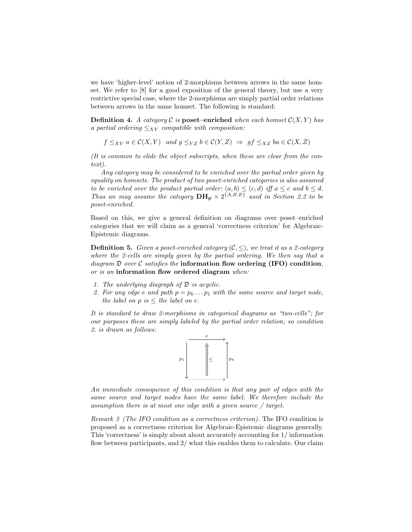we have 'higher-level' notion of 2-morphisms between arrows in the same homset. We refer to [8] for a good exposition of the general theory, but use a very restrictive special case, where the 2-morphisms are simply partial order relations between arrows in the same homset. The following is standard:

**Definition 4.** A category  $C$  is **poset–enriched** when each homset  $C(X, Y)$  has a partial ordering  $\leq_{XY}$  compatible with composition:

 $f \leq_{XY} a \in \mathcal{C}(X, Y)$  and  $g \leq_{YZ} b \in \mathcal{C}(Y, Z) \Rightarrow gf \leq_{XZ} ba \in \mathcal{C}(X, Z)$ 

(It is common to elide the object subscripts, when these are clear from the context).

Any category may be considered to be enriched over the partial order given by equality on homsets. The product of two poset-enriched categories is also assumed to be enriched over the product partial order:  $(a, b) \leq (c, d)$  iff  $a \leq c$  and  $b \leq d$ . Thus we may assume the category  $\mathbf{DH_p} \times 2^{\{A,B,E\}}$  used in Section 2.2 to be poset-enriched.

Based on this, we give a general definition on diagrams over poset–enriched categories that we will claim as a general 'correctness criterion' for Algebraic-Epistemic diagrams.

**Definition 5.** Given a poset-enriched category  $(C, \leq)$ , we treat it as a 2-category where the 2-cells are simply given by the partial ordering. We then say that a diagram  $\mathfrak D$  over C satisfies the information flow ordering (IFO) condition, or is an information flow ordered diagram when:

- 1. The underlying diagraph of  $\mathfrak D$  is acyclic.
- 2. For any edge e and path  $p = p_k \dots p_1$  with the same source and target node, the label on  $p$  is  $\leq$  the label on e.

It is standard to draw 2-morphisms in categorical diagrams as "two-cells"; for our purposes these are simply labeled by the partial order relation, so condition 2. is drawn as follows:



An immediate consequence of this condition is that any pair of edges with the same source and target nodes have the same label. We therefore include the assumption there is at most one edge with a given source / target.

Remark 3 (The IFO condition as a correctness criterion). The IFO condition is proposed as a correctness criterion for Algebraic-Epistemic diagrams generally. This 'correctness' is simply about about accurately accounting for 1/ information flow between participants, and  $2/$  what this enables them to calculate. Our claim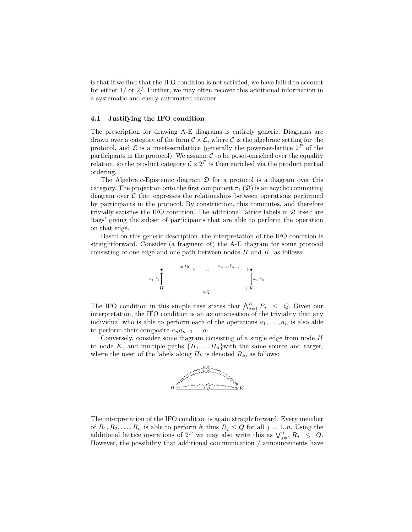is that if we find that the IFO condition is not satisfied, we have failed to account for either  $1/$  or  $2/$ . Further, we may often recover this additional information in a systematic and easily automated manner.

#### 4.1 Justifying the IFO condition

The prescription for drawing A-E diagrams is entirely generic. Diagrams are drawn over a category of the form  $C \times \mathcal{L}$ , where C is the algebraic setting for the protocol, and  $\mathcal L$  is a meet-semilattice (generally the powerset-lattice  $2^P$  of the participants in the protocol). We assume  $\mathcal C$  to be poset-enriched over the equality relation, so the product category  $C \times 2^P$  is then enriched via the product partial ordering.

The Algebraic-Epistemic diagram  $\mathfrak D$  for a protocol is a diagram over this category. The projection onto the first component  $\pi_1(\mathfrak{D})$  is an acyclic commuting diagram over  $\mathcal C$  that expresses the relationships between operations performed by participants in the protocol. By construction, this commutes, and therefore trivially satisfies the IFO condition. The additional lattice labels in  $\mathfrak D$  itself are 'tags' giving the subset of participants that are able to perform the operation on that edge.

Based on this generic description, the interpretation of the IFO condition is straightforward. Consider (a fragment of) the A-E diagram for some protocol consisting of one edge and one path between nodes  $H$  and  $K$ , as follows:



The IFO condition in this simple case states that  $\bigwedge_{j=1}^{n} P_j \leq Q$ . Given our interpretation, the IFO condition is an axiomatisation of the triviality that any individual who is able to perform each of the operations  $a_1, \ldots, a_n$  is also able to perform their composite  $a_na_{n-1} \ldots a_1$ .

Conversely, consider some diagram consisting of a single edge from node H to node K, and multiple paths  $\{I_1, \ldots I_n\}$  with the same source and target, where the meet of the labels along  $\Pi_k$  is denoted  $R_k$ , as follows:



The interpretation of the IFO condition is again straightforward. Every member of  $R_1, R_2, \ldots, R_n$  is able to perform b; thus  $R_j \leq Q$  for all  $j = 1...n$ . Using the additional lattice operations of  $2^P$  we may also write this as  $\bigvee_{j=1}^n R_j \leq Q$ . However, the possibility that additional communication / announcements have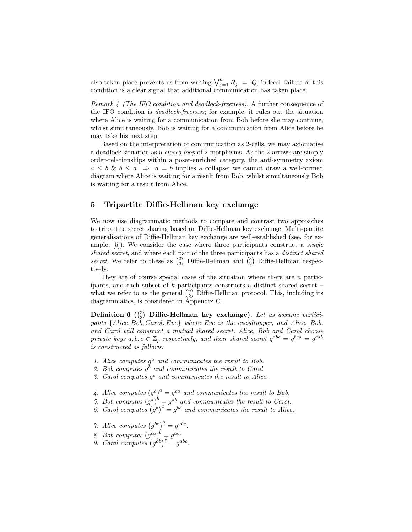also taken place prevents us from writing  $\bigvee_{j=1}^{n} R_j = Q$ ; indeed, failure of this condition is a clear signal that additional communication has taken place.

Remark 4 (The IFO condition and deadlock-freeness). A further consequence of the IFO condition is deadlock-freeness; for example, it rules out the situation where Alice is waiting for a communication from Bob before she may continue, whilst simultaneously, Bob is waiting for a communication from Alice before he may take his next step.

Based on the interpretation of communication as 2-cells, we may axiomatise a deadlock situation as a closed loop of 2-morphisms. As the 2-arrows are simply order-relationships within a poset-enriched category, the anti-symmetry axiom  $a \leq b \& b \leq a \Rightarrow a = b$  implies a collapse; we cannot draw a well-formed diagram where Alice is waiting for a result from Bob, whilst simultaneously Bob is waiting for a result from Alice.

## 5 Tripartite Diffie-Hellman key exchange

We now use diagrammatic methods to compare and contrast two approaches to tripartite secret sharing based on Diffie-Hellman key exchange. Multi-partite generalisations of Diffie-Hellman key exchange are well-established (see, for example, [5]). We consider the case where three participants construct a single shared secret, and where each pair of the three participants has a *distinct shared* secret. We refer to these as  $\binom{3}{3}$  Diffie-Hellman and  $\binom{3}{2}$  Diffie-Hellman respectively.

They are of course special cases of the situation where there are  $n$  participants, and each subset of k participants constructs a distinct shared secret – what we refer to as the general  $\binom{n}{k}$  Diffie-Hellman protocol. This, including its diagrammatics, is considered in Appendix C.

Definition 6  $\binom{3}{3}$  Diffie-Hellman key exchange). Let us assume participants {Alice, Bob, Carol, Eve} where Eve is the evesdropper, and Alice, Bob, and Carol will construct a mutual shared secret. Alice, Bob and Carol choose private keys  $a, b, c \in \mathbb{Z}_p$  respectively, and their shared secret  $g^{abc} = g^{bca} = g^{cab}$ is constructed as follows:

- 1. Alice computes  $g^a$  and communicates the result to Bob.
- 2. Bob computes  $g^b$  and communicates the result to Carol.
- 3. Carol computes  $g^c$  and communicates the result to Alice.
- 4. Alice computes  $(g^c)^a = g^{ca}$  and communicates the result to Bob.
- 5. Bob computes  $(g^a)^b = g^{ab}$  and communicates the result to Carol.
- 6. Carol computes  $(g^b)^c = g^{bc}$  and communicates the result to Alice.
- 7. Alice computes  $(g^{bc})^a = g^{abc}$ .
- 8. Bob computes  $(g^{ca})^b = g^{abc}$
- 9. Carol computes  $(g^{ab})^c = g^{abc}$ .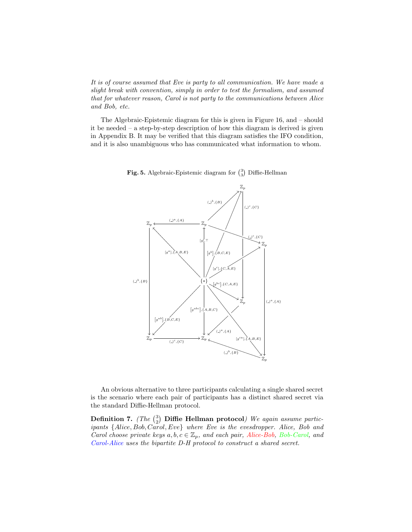It is of course assumed that Eve is party to all communication. We have made a slight break with convention, simply in order to test the formalism, and assumed that for whatever reason, Carol is not party to the communications between Alice and Bob, etc.

The Algebraic-Epistemic diagram for this is given in Figure 16, and – should it be needed – a step-by-step description of how this diagram is derived is given in Appendix B. It may be verified that this diagram satisfies the IFO condition, and it is also unambiguous who has communicated what information to whom.



**Fig. 5.** Algebraic-Epistemic diagram for  $\binom{3}{3}$  Diffie-Hellman

An obvious alternative to three participants calculating a single shared secret is the scenario where each pair of participants has a distinct shared secret via the standard Diffie-Hellman protocol.

**Definition 7.** (The  $\binom{3}{2}$  **Diffie Hellman protocol**) We again assume participants {Alice, Bob, Carol, Eve} where Eve is the evesdropper. Alice, Bob and Carol choose private keys  $a, b, c \in \mathbb{Z}_p$ , and each pair, Alice-Bob, Bob-Carol, and Carol-Alice uses the bipartite D-H protocol to construct a shared secret.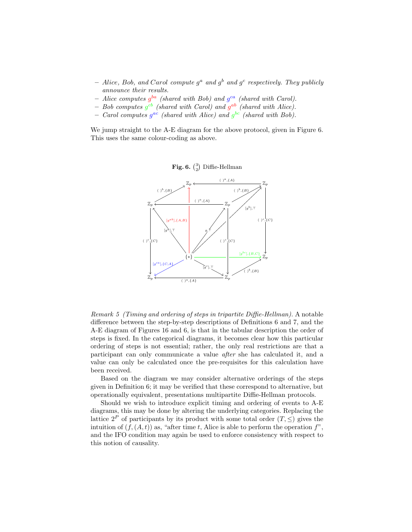- Alice, Bob, and Carol compute  $g^a$  and  $g^b$  and  $g^c$  respectively. They publicly announce their results.
- Alice computes  $g^{ba}$  (shared with Bob) and  $g^{ca}$  (shared with Carol).
- Bob computes  $g^{cb}$  (shared with Carol) and  $g^{ab}$  (shared with Alice).
- Carol computes  $g^{ac}$  (shared with Alice) and  $g^{bc}$  (shared with Bob).

We jump straight to the A-E diagram for the above protocol, given in Figure 6. This uses the same colour-coding as above.





Remark 5 (Timing and ordering of steps in tripartite Diffie-Hellman). A notable difference between the step-by-step descriptions of Definitions 6 and 7, and the A-E diagram of Figures 16 and 6, is that in the tabular description the order of steps is fixed. In the categorical diagrams, it becomes clear how this particular ordering of steps is not essential; rather, the only real restrictions are that a participant can only communicate a value after she has calculated it, and a value can only be calculated once the pre-requisites for this calculation have been received.

Based on the diagram we may consider alternative orderings of the steps given in Definition 6; it may be verified that these correspond to alternative, but operationally equivalent, presentations multipartite Diffie-Hellman protocols.

Should we wish to introduce explicit timing and ordering of events to A-E diagrams, this may be done by altering the underlying categories. Replacing the lattice  $2^P$  of participants by its product with some total order  $(T, \leq)$  gives the intuition of  $(f, (A, t))$  as, "after time t, Alice is able to perform the operation f", and the IFO condition may again be used to enforce consistency with respect to this notion of causality.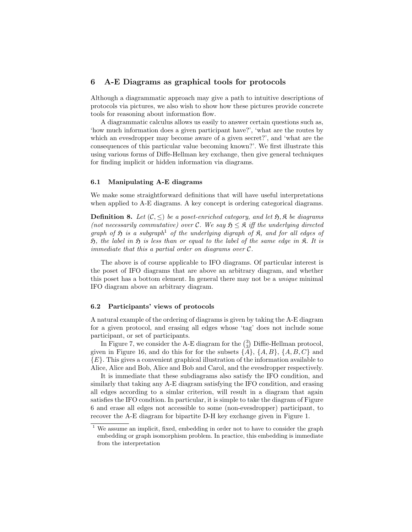## 6 A-E Diagrams as graphical tools for protocols

Although a diagrammatic approach may give a path to intuitive descriptions of protocols via pictures, we also wish to show how these pictures provide concrete tools for reasoning about information flow.

A diagrammatic calculus allows us easily to answer certain questions such as, 'how much information does a given participant have?', 'what are the routes by which an evesdropper may become aware of a given secret?', and 'what are the consequences of this particular value becoming known?'. We first illustrate this using various forms of Diffe-Hellman key exchange, then give general techniques for finding implicit or hidden information via diagrams.

#### 6.1 Manipulating A-E diagrams

We make some straightforward definitions that will have useful interpretations when applied to A-E diagrams. A key concept is ordering categorical diagrams.

**Definition 8.** Let  $(C, \leq)$  be a poset-enriched category, and let  $\mathfrak{H}, \mathfrak{K}$  be diagrams (not necessarily commutative) over C. We say  $\mathfrak{H} \leq \mathfrak{K}$  iff the underlying directed graph of  $\mathfrak H$  is a subgraph<sup>1</sup> of the underlying digraph of  $\mathfrak K$ , and for all edges of  $\mathfrak{H}$ , the label in  $\mathfrak{H}$  is less than or equal to the label of the same edge in  $\mathfrak{K}$ . It is immediate that this a partial order on diagrams over  $\mathcal{C}.$ 

The above is of course applicable to IFO diagrams. Of particular interest is the poset of IFO diagrams that are above an arbitrary diagram, and whether this poset has a bottom element. In general there may not be a unique minimal IFO diagram above an arbitrary diagram.

#### 6.2 Participants' views of protocols

A natural example of the ordering of diagrams is given by taking the A-E diagram for a given protocol, and erasing all edges whose 'tag' does not include some participant, or set of participants.

In Figure 7, we consider the A-E diagram for the  $\binom{3}{3}$  Diffie-Hellman protocol, given in Figure 16, and do this for for the subsets  $\{\tilde{A}\}, \{A, B\}, \{A, B, C\}$  and {E}. This gives a convenient graphical illustration of the information available to Alice, Alice and Bob, Alice and Bob and Carol, and the evesdropper respectively.

It is immediate that these subdiagrams also satisfy the IFO condition, and similarly that taking any A-E diagram satisfying the IFO condition, and erasing all edges according to a simlar criterion, will result in a diagram that again satisfies the IFO condtion. In particular, it is simple to take the diagram of Figure 6 and erase all edges not accessible to some (non-evesdropper) participant, to recover the A-E diagram for bipartite D-H key exchange given in Figure 1.

<sup>&</sup>lt;sup>1</sup> We assume an implicit, fixed, embedding in order not to have to consider the graph embedding or graph isomorphism problem. In practice, this embedding is immediate from the interpretation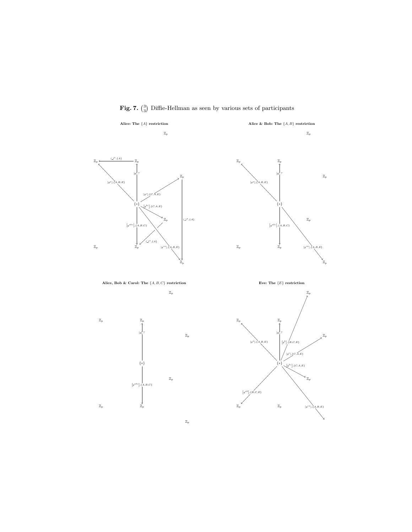**Fig. 7.**  $\binom{3}{3}$  Diffie-Hellman as seen by various sets of participants

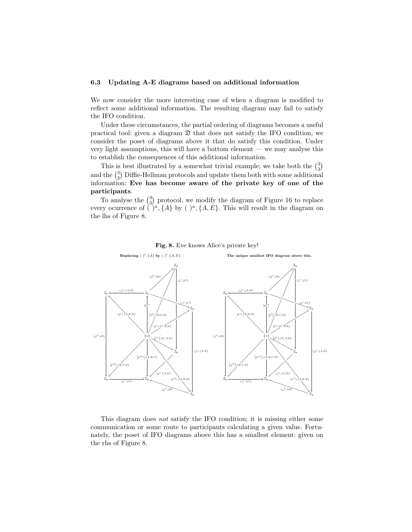#### 6.3 Updating A-E diagrams based on additional information

We now consider the more interesting case of when a diagram is modified to reflect some additional information. The resulting diagram may fail to satisfy the IFO condition.

Under these circumstances, the partial ordering of diagrams becomes a useful practical tool: given a diagram  $\mathfrak D$  that does not satisfy the IFO condition, we consider the poset of diagrams above it that do satisfy this condition. Under very light assumptions, this will have a bottom element — we may analyse this to establish the consequences of this additional information.

This is best illustrated by a somewhat trivial example; we take both the  $\binom{3}{3}$ and the  $\binom{3}{2}$  Diffie-Hellman protocols and update them both with some additional information: Eve has become aware of the private key of one of the participants.

To analyse the  $\binom{3}{3}$  protocol, we modify the diagram of Figure 16 to replace every ocurrence of  $\tilde{O}^a$ ,  $\{A\}$  by  $\tilde{O}^a$ ,  $\{A, E\}$ . This will result in the diagram on the lhs of Figure 8.



Fig. 8. Eve knows Alice's private key!

This diagram does not satisfy the IFO condition; it is missing either some communication or some route to participants calculating a given value. Fortunately, the poset of IFO diagrams above this has a smallest element: given on the rhs of Figure 8.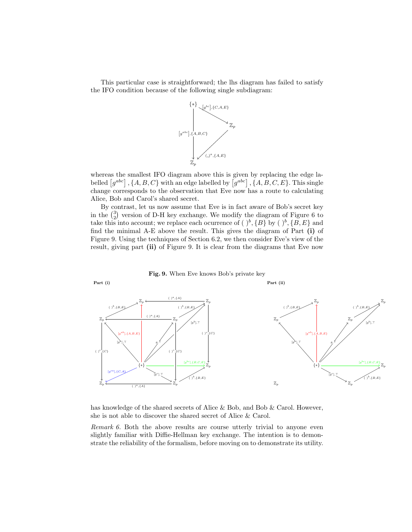This particular case is straightforward; the lhs diagram has failed to satisfy the IFO condition because of the following single subdiagram:



whereas the smallest IFO diagram above this is given by replacing the edge labelled  $[g^{abc}]$ ,  $\{A, B, C\}$  with an edge labelled by  $[g^{abc}]$ ,  $\{A, B, C, E\}$ . This single change corresponds to the observation that Eve now has a route to calculating Alice, Bob and Carol's shared secret.

By contrast, let us now assume that Eve is in fact aware of Bob's secret key in the  $\binom{3}{2}$  version of D-H key exchange. We modify the diagram of Figure 6 to take this into account; we replace each ocurrence of  $( )^b$ ,  $\{B\}$  by  $( )^b$ ,  $\{B, E\}$  and find the minimal A-E above the result. This gives the diagram of Part (i) of Figure 9. Using the techniques of Section 6.2, we then consider Eve's view of the result, giving part (ii) of Figure 9. It is clear from the diagrams that Eve now



has knowledge of the shared secrets of Alice & Bob, and Bob & Carol. However, she is not able to discover the shared secret of Alice & Carol.

Remark 6. Both the above results are course utterly trivial to anyone even slightly familiar with Diffie-Hellman key exchange. The intention is to demonstrate the reliability of the formalism, before moving on to demonstrate its utility.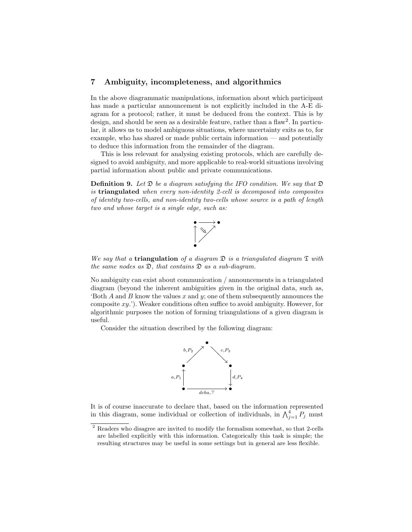## 7 Ambiguity, incompleteness, and algorithmics

In the above diagrammatic manipulations, information about which participant has made a particular announcement is not explicitly included in the A-E diagram for a protocol; rather, it must be deduced from the context. This is by design, and should be seen as a desirable feature, rather than a flaw<sup>2</sup>. In particular, it allows us to model ambiguous situations, where uncertainty exits as to, for example, who has shared or made public certain information — and potentially to deduce this information from the remainder of the diagram.

This is less relevant for analysing existing protocols, which are carefully designed to avoid ambiguity, and more applicable to real-world situations involving partial information about public and private communications.

**Definition 9.** Let  $\mathfrak{D}$  be a diagram satisfying the IFO condition. We say that  $\mathfrak{D}$ is triangulated when every non-identity 2-cell is decomposed into composites of identity two-cells, and non-identity two-cells whose source is a path of length two and whose target is a single edge, such as:



We say that a **triangulation** of a diagram  $\mathfrak{D}$  is a triangulated diagram  $\mathfrak{T}$  with the same nodes as  $\mathfrak{D}$ , that contains  $\mathfrak{D}$  as a sub-diagram.

No ambiguity can exist about communication / announcements in a triangulated diagram (beyond the inherent ambiguities given in the original data, such as, 'Both  $A$  and  $B$  know the values  $x$  and  $y$ ; one of them subsequently announces the composite  $xy$ .'). Weaker conditions often suffice to avoid ambiguity. However, for algorithmic purposes the notion of forming triangulations of a given diagram is useful.

Consider the situation described by the following diagram:



It is of course inaccurate to declare that, based on the information represented in this diagram, some individual or collection of individuals, in  $\bigwedge_{j=1}^{4} P_j$  must

 $^{\rm 2}$  Readers who disagree are invited to modify the formalism somewhat, so that 2-cells are labelled explicitly with this information. Categorically this task is simple; the resulting structures may be useful in some settings but in general are less flexible.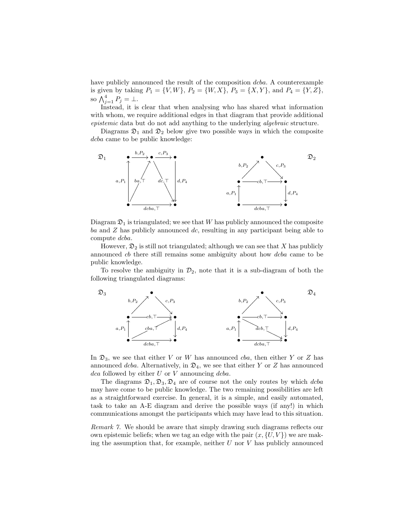have publicly announced the result of the composition dcba. A counterexample is given by taking  $P_1 = \{V, W\}$ ,  $P_2 = \{W, X\}$ ,  $P_3 = \{X, Y\}$ , and  $P_4 = \{Y, Z\}$ , so  $\bigwedge_{j=1}^4 P_j = \bot$ .

Instead, it is clear that when analysing who has shared what information with whom, we require additional edges in that diagram that provide additional epistemic data but do not add anything to the underlying algebraic structure.

Diagrams  $\mathfrak{D}_1$  and  $\mathfrak{D}_2$  below give two possible ways in which the composite dcba came to be public knowledge:



Diagram  $\mathfrak{D}_1$  is triangulated; we see that W has publicly announced the composite ba and  $Z$  has publicly announced  $dc$ , resulting in any participant being able to compute dcba.

However,  $\mathfrak{D}_2$  is still not triangulated; although we can see that X has publicly announced cb there still remains some ambiguity about how dcba came to be public knowledge.

To resolve the ambiguity in  $\mathcal{D}_2$ , note that it is a sub-diagram of both the following triangulated diagrams:



In  $\mathfrak{D}_3$ , we see that either V or W has announced cba, then either Y or Z has announced dcba. Alternatively, in  $\mathfrak{D}_4$ , we see that either Y or Z has announced  $dca$  followed by either U or V announcing  $dcba$ .

The diagrams  $\mathfrak{D}_1, \mathfrak{D}_3, \mathfrak{D}_4$  are of course not the only routes by which dcba may have come to be public knowledge. The two remaining possibilities are left as a straightforward exercise. In general, it is a simple, and easily automated, task to take an A-E diagram and derive the possible ways (if any!) in which communications amongst the participants which may have lead to this situation.

Remark 7. We should be aware that simply drawing such diagrams reflects our own epistemic beliefs; when we tag an edge with the pair  $(x, \{U, V\})$  we are making the assumption that, for example, neither  $U$  nor  $V$  has publicly announced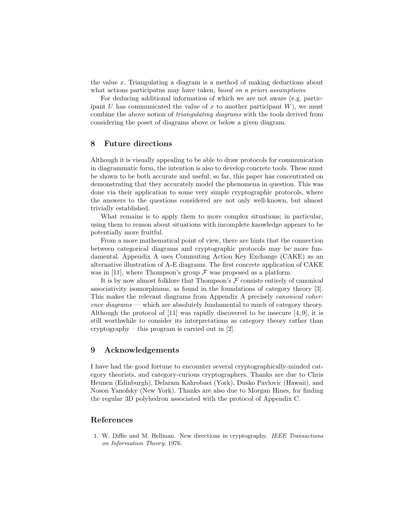the value x. Triangulating a diagram is a method of making deductions about what actions participatns may have taken, based on a priori assumptions.

For deducing additional information of which we are not aware (e.g. participant  $U$  has communicated the value of  $x$  to another participant  $W$ ), we must combine the above notion of triangulating diagrams with the tools derived from considering the poset of diagrams above or below a given diagram.

## 8 Future directions

Although it is visually appealing to be able to draw protocols for communication in diagrammatic form, the intention is also to develop concrete tools. These must be shown to be both accurate and useful; so far, this paper has concentrated on demonstrating that they accurately model the phenomena in question. This was done via their application to some very simple cryptographic protocols, where the answers to the questions considered are not only well-known, but almost trivially established.

What remains is to apply them to more complex situations; in particular, using them to reason about situations with incomplete knowledge appears to be potentially more fruitful.

From a more mathematical point of view, there are hints that the connection between categorical diagrams and cryptographic protocols may be more fundamental. Appendix A uses Commuting Action Key Exchange (CAKE) as an alternative illustration of A-E diagrams. The first concrete application of CAKE was in [11], where Thompson's group  $\mathcal F$  was proposed as a platform.

It is by now almost folklore that Thompson's  $F$  consists entirely of canonical associativity isomorphisms, as found in the foundations of category theory [3]. This makes the relevant diagrams from Appendix A precisely canonical coherence diagrams — which are absolutely fundamental to much of category theory. Although the protocol of  $[11]$  was rapidly discovered to be insecure  $[4, 9]$ , it is still worthwhile to consider its interpretations as category theory rather than cryptography – this program is carried out in [2].

## 9 Acknowledgements

I have had the good fortune to encounter several cryptographically-minded category theorists, and category-curious cryptographers. Thanks are due to Chris Heunen (Edinburgh), Delaram Kahrobaei (York), Dusko Pavlovic (Hawaii), and Noson Yanofsky (New York). Thanks are also due to Morgan Hines, for finding the regular 3D polyhedron associated with the protocol of Appendix C.

## References

1. W. Diffie and M. Hellman. New directions in cryptography. IEEE Transactions on Information Theory, 1976.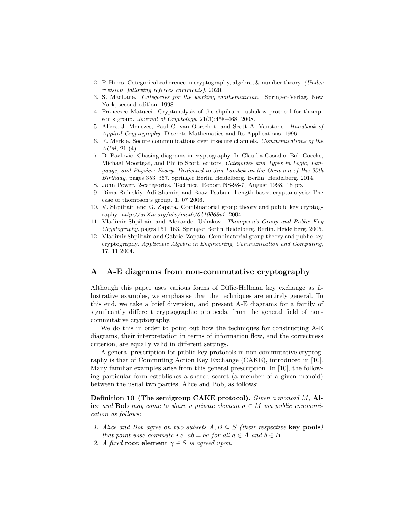- 2. P. Hines. Categorical coherence in cryptography, algebra, & number theory. (Under revision, following referees comments), 2020.
- 3. S. MacLane. Categories for the working mathematician. Springer-Verlag, New York, second edition, 1998.
- 4. Francesco Matucci. Cryptanalysis of the shpilrain– ushakov protocol for thompson's group. Journal of Cryptology, 21(3):458–468, 2008.
- 5. Alfred J. Menezes, Paul C. van Oorschot, and Scott A. Vanstone. Handbook of Applied Cryptography. Discrete Mathematics and Its Applications. 1996.
- 6. R. Merkle. Secure communications over insecure channels. Communications of the ACM, 21 (4).
- 7. D. Pavlovic. Chasing diagrams in cryptography. In Claudia Casadio, Bob Coecke, Michael Moortgat, and Philip Scott, editors, Categories and Types in Logic, Language, and Physics: Essays Dedicated to Jim Lambek on the Occasion of His 90th Birthday, pages 353–367. Springer Berlin Heidelberg, Berlin, Heidelberg, 2014.
- 8. John Power. 2-categories. Technical Report NS-98-7, August 1998. 18 pp.
- 9. Dima Ruinskiy, Adi Shamir, and Boaz Tsaban. Length-based cryptanalysis: The case of thompson's group. 1, 07 2006.
- 10. V. Shpilrain and G. Zapata. Combinatorial group theory and public key cryptography.  $http://arXiv.org/abs/math/0410068v1, 2004$ .
- 11. Vladimir Shpilrain and Alexander Ushakov. Thompson's Group and Public Key Cryptography, pages 151–163. Springer Berlin Heidelberg, Berlin, Heidelberg, 2005.
- 12. Vladimir Shpilrain and Gabriel Zapata. Combinatorial group theory and public key cryptography. Applicable Algebra in Engineering, Communication and Computing, 17, 11 2004.

## A A-E diagrams from non-commutative cryptography

Although this paper uses various forms of Diffie-Hellman key exchange as illustrative examples, we emphasise that the techniques are entirely general. To this end, we take a brief diversion, and present A-E diagrams for a family of significantly different cryptographic protocols, from the general field of noncommutative cryptography.

We do this in order to point out how the techniques for constructing A-E diagrams, their interpretation in terms of information flow, and the correctness criterion, are equally valid in different settings.

A general prescription for public-key protocols in non-commutative cryptography is that of Commuting Action Key Exchange (CAKE), introduced in [10]. Many familiar examples arise from this general prescription. In [10], the following particular form establishes a shared secret (a member of a given monoid) between the usual two parties, Alice and Bob, as follows:

Definition 10 (The semigroup CAKE protocol). Given a monoid M, Alice and Bob may come to share a private element  $\sigma \in M$  via public communication as follows:

- 1. Alice and Bob agree on two subsets  $A, B \subseteq S$  (their respective key pools) that point-wise commute i.e.  $ab = ba$  for all  $a \in A$  and  $b \in B$ .
- 2. A fixed root element  $\gamma \in S$  is agreed upon.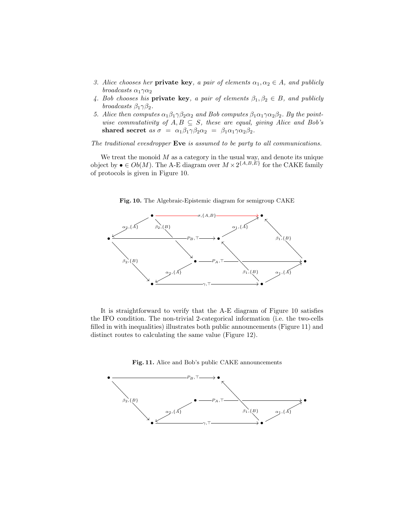- 3. Alice chooses her **private key**, a pair of elements  $\alpha_1, \alpha_2 \in A$ , and publicly broadcasts  $\alpha_1\gamma\alpha_2$
- 4. Bob chooses his **private key**, a pair of elements  $\beta_1, \beta_2 \in B$ , and publicly broadcasts  $\beta_1 \gamma \beta_2$ .
- 5. Alice then computes  $\alpha_1\beta_1\gamma\beta_2\alpha_2$  and Bob computes  $\beta_1\alpha_1\gamma\alpha_2\beta_2$ . By the pointwise commutativity of  $A, B \subseteq S$ , these are equal, giving Alice and Bob's shared secret as  $\sigma = \alpha_1 \beta_1 \gamma \beta_2 \alpha_2 = \beta_1 \alpha_1 \gamma \alpha_2 \beta_2$ .

The traditional evesdropper Eve is assumed to be party to all communications.

We treat the monoid  $M$  as a category in the usual way, and denote its unique object by  $\bullet \in Ob(M)$ . The A-E diagram over  $M \times 2^{\{A,B,E\}}$  for the CAKE family of protocols is given in Figure 10.



Fig. 10. The Algebraic-Epistemic diagram for semigroup CAKE

It is straightforward to verify that the A-E diagram of Figure 10 satisfies the IFO condition. The non-trivial 2-categorical information (i.e. the two-cells filled in with inequalities) illustrates both public announcements (Figure 11) and distinct routes to calculating the same value (Figure 12).



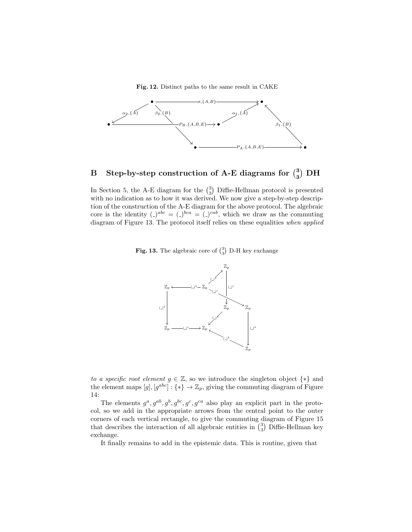Fig. 12. Distinct paths to the same result in CAKE



# B Step-by-step construction of A-E diagrams for  $\binom{3}{3}$  DH

In Section 5, the A-E diagram for the  $\binom{3}{3}$  Diffie-Hellman protocol is presented with no indication as to how it was derived. We now give a step-by-step description of the construction of the A-E diagram for the above protocol. The algebraic core is the identity  $($ <sub>-</sub> $)^{abc}$  =  $($ <sub>-</sub> $)^{bca}$  =  $($ <sub>-</sub> $)^{cab}$ , which we draw as the commuting diagram of Figure 13. The protocol itself relies on these equalities when applied

**Fig. 13.** The algebraic core of  $\binom{3}{3}$  D-H key exchange



to a specific root element  $g \in \mathbb{Z}$ , so we introduce the singleton object  $\{*\}$  and the element maps  $[g], [g^{abc}] : \{*\} \to \mathbb{Z}_p$ , giving the commuting diagram of Figure 14:

The elements  $g^a, g^{ab}, g^b, g^{bc}, g^c, g^{ca}$  also play an explicit part in the protocol, so we add in the appropriate arrows from the central point to the outer corners of each vertical rectangle, to give the commuting diagram of Figure 15 that describes the interaction of all algebraic entities in  $\binom{3}{3}$  Diffie-Hellman key exchange.

It finally remains to add in the epistemic data. This is routine, given that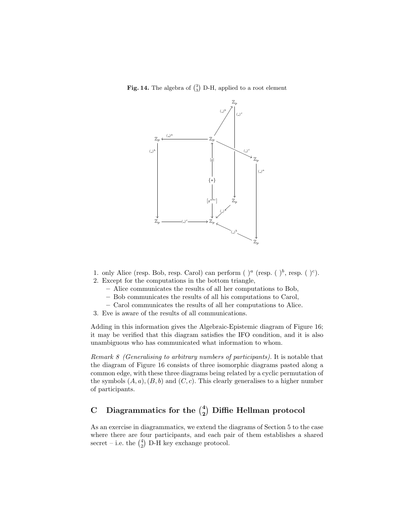Fig. 14. The algebra of  $\binom{3}{3}$  D-H, applied to a root element



- 1. only Alice (resp. Bob, resp. Carol) can perform ( $\int_a^a$  (resp. ( $\int_b^b$ , resp. ( $\int_c^c$ ).
- 2. Except for the computations in the bottom triangle,
	- Alice communicates the results of all her computations to Bob,
	- Bob communicates the results of all his computations to Carol,
	- Carol communicates the results of all her computations to Alice.
- 3. Eve is aware of the results of all communications.

Adding in this information gives the Algebraic-Epistemic diagram of Figure 16; it may be verified that this diagram satisfies the IFO condition, and it is also unambiguous who has communicated what information to whom.

Remark 8 (Generalising to arbitrary numbers of participants). It is notable that the diagram of Figure 16 consists of three isomorphic diagrams pasted along a common edge, with these three diagrams being related by a cyclic permutation of the symbols  $(A, a), (B, b)$  and  $(C, c)$ . This clearly generalises to a higher number of participants.

# C Diagrammatics for the  $\binom{4}{2}$  Diffie Hellman protocol

As an exercise in diagrammatics, we extend the diagrams of Section 5 to the case where there are four participants, and each pair of them establishes a shared secret – i.e. the  $\binom{4}{2}$  D-H key exchange protocol.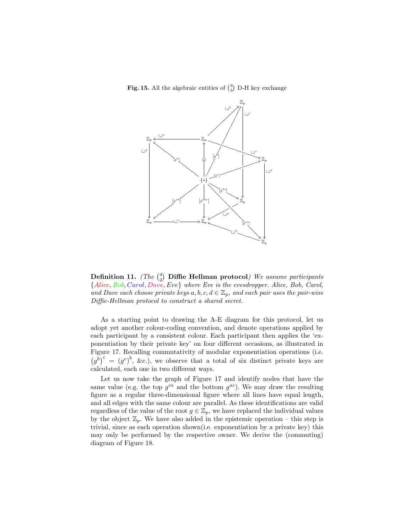**Fig. 15.** All the algebraic entities of  $\binom{3}{3}$  D-H key exchange



Definition 11. (The  $\binom{4}{2}$  Diffie Hellman protocol) We assume participants {Alice, Bob, Carol, Dave, Eve} where Eve is the evesdropper. Alice, Bob, Carol, and Dave each choose private keys  $a, b, c, d \in \mathbb{Z}_p$ , and each pair uses the pair-wise Diffie-Hellman protocol to construct a shared secret.

As a starting point to drawing the A-E diagram for this protocol, let us adopt yet another colour-coding convention, and denote operations applied by each participant by a consistent colour. Each participant then applies the 'exponentiation by their private key' on four different occasions, as illustrated in Figure 17. Recalling commutativity of modular exponentiation operations (i.e.  $(g^{b})^{c} = (g^{c})^{b}$ , &c.), we observe that a total of six distinct private keys are calculated, each one in two different ways.

Let us now take the graph of Figure 17 and identify nodes that have the same value (e.g. the top  $g^{ca}$  and the bottom  $g^{ac}$ ). We may draw the resulting figure as a regular three-dimensional figure where all lines have equal length, and all edges with the same colour are parallel. As these identifications are valid regardless of the value of the root  $g \in \mathbb{Z}_p$ , we have replaced the individual values by the object  $\mathbb{Z}_p$ . We have also added in the epistemic operation – this step is trivial, since as each operation shown(i.e. exponentiation by a private key) this may only be performed by the respective owner. We derive the (commuting) diagram of Figure 18.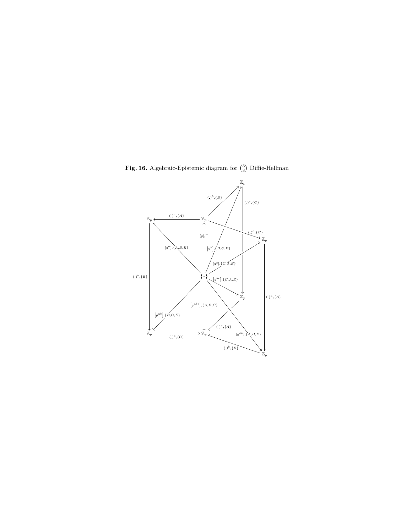

**Fig. 16.** Algebraic-Epistemic diagram for  $\binom{3}{3}$  Diffie-Hellman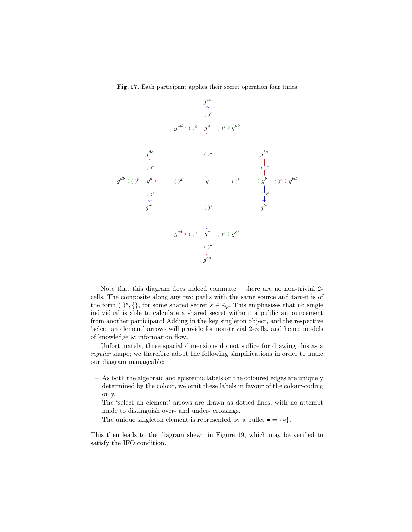Fig. 17. Each participant applies their secret operation four times



Note that this diagram does indeed commute – there are no non-trivial 2 cells. The composite along any two paths with the same source and target is of the form ( )<sup>s</sup>, {}, for some shared secret  $s \in \mathbb{Z}_p$ . This emphasises that no single individual is able to calculate a shared secret without a public announcement from another participant! Adding in the key singleton object, and the respective 'select an element' arrows will provide for non-trivial 2-cells, and hence models of knowledge & information flow.

Unfortunately, three spacial dimensions do not suffice for drawing this as a regular shape; we therefore adopt the following simplifications in order to make our diagram manageable:

- As both the algebraic and epistemic labels on the coloured edges are uniquely determined by the colour, we omit these labels in favour of the colour-coding only.
- The 'select an element' arrows are drawn as dotted lines, with no attempt made to distinguish over- and under- crossings.
- The unique singleton element is represented by a bullet  $\bullet = {\ast}.$

This then leads to the diagram shewn in Figure 19, which may be verified to satisfy the IFO condition.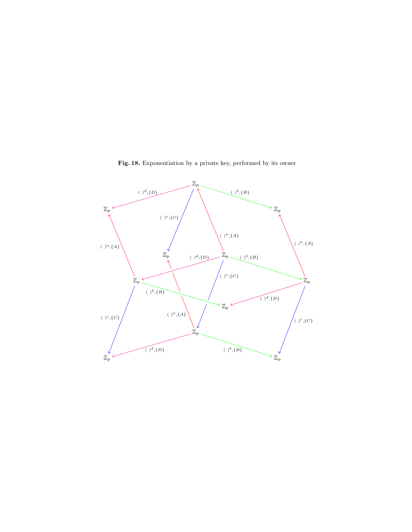

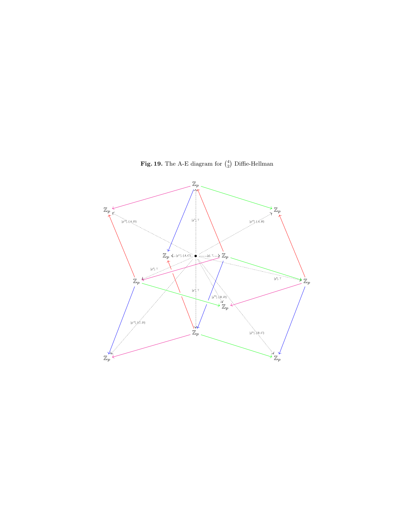